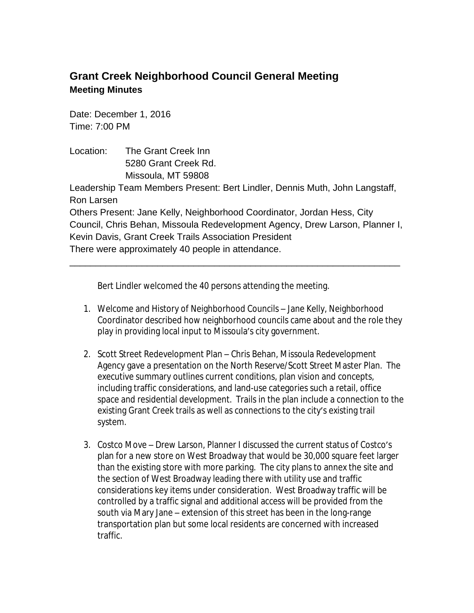## **Grant Creek Neighborhood Council General Meeting Meeting Minutes**

Date: December 1, 2016 Time: 7:00 PM

Location: The Grant Creek Inn 5280 Grant Creek Rd. Missoula, MT 59808

Leadership Team Members Present: Bert Lindler, Dennis Muth, John Langstaff, Ron Larsen

Others Present: Jane Kelly, Neighborhood Coordinator, Jordan Hess, City Council, Chris Behan, Missoula Redevelopment Agency, Drew Larson, Planner I, Kevin Davis, Grant Creek Trails Association President There were approximately 40 people in attendance.

\_\_\_\_\_\_\_\_\_\_\_\_\_\_\_\_\_\_\_\_\_\_\_\_\_\_\_\_\_\_\_\_\_\_\_\_\_\_\_\_\_\_\_\_\_\_\_\_\_\_\_\_\_\_\_\_\_\_\_\_\_\_\_\_

Bert Lindler welcomed the 40 persons attending the meeting.

- 1. Welcome and History of Neighborhood Councils Jane Kelly, Neighborhood Coordinator described how neighborhood councils came about and the role they play in providing local input to Missoula's city government.
- 2. Scott Street Redevelopment Plan Chris Behan, Missoula Redevelopment Agency gave a presentation on the North Reserve/Scott Street Master Plan. The executive summary outlines current conditions, plan vision and concepts, including traffic considerations, and land-use categories such a retail, office space and residential development. Trails in the plan include a connection to the existing Grant Creek trails as well as connections to the city's existing trail system.
- 3. Costco Move Drew Larson, Planner I discussed the current status of Costco's plan for a new store on West Broadway that would be 30,000 square feet larger than the existing store with more parking. The city plans to annex the site and the section of West Broadway leading there with utility use and traffic considerations key items under consideration. West Broadway traffic will be controlled by a traffic signal and additional access will be provided from the south via Mary Jane – extension of this street has been in the long-range transportation plan but some local residents are concerned with increased traffic.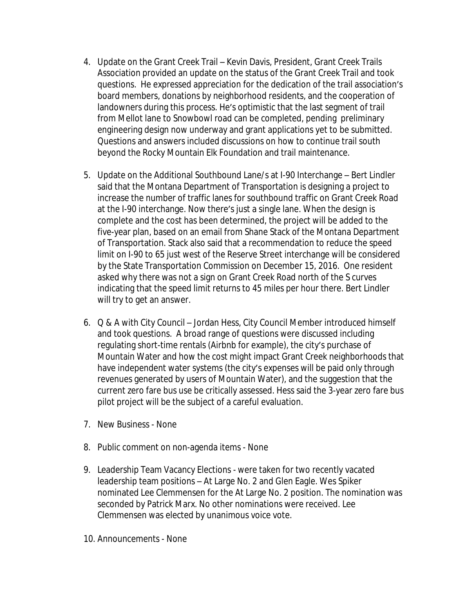- 4. Update on the Grant Creek Trail Kevin Davis, President, Grant Creek Trails Association provided an update on the status of the Grant Creek Trail and took questions. He expressed appreciation for the dedication of the trail association's board members, donations by neighborhood residents, and the cooperation of landowners during this process. He's optimistic that the last segment of trail from Mellot lane to Snowbowl road can be completed, pending preliminary engineering design now underway and grant applications yet to be submitted. Questions and answers included discussions on how to continue trail south beyond the Rocky Mountain Elk Foundation and trail maintenance.
- 5. Update on the Additional Southbound Lane/s at I-90 Interchange Bert Lindler said that the Montana Department of Transportation is designing a project to increase the number of traffic lanes for southbound traffic on Grant Creek Road at the I-90 interchange. Now there's just a single lane. When the design is complete and the cost has been determined, the project will be added to the five-year plan, based on an email from Shane Stack of the Montana Department of Transportation. Stack also said that a recommendation to reduce the speed limit on I-90 to 65 just west of the Reserve Street interchange will be considered by the State Transportation Commission on December 15, 2016. One resident asked why there was not a sign on Grant Creek Road north of the S curves indicating that the speed limit returns to 45 miles per hour there. Bert Lindler will try to get an answer.
- 6. Q & A with City Council Jordan Hess, City Council Member introduced himself and took questions. A broad range of questions were discussed including regulating short-time rentals (Airbnb for example), the city's purchase of Mountain Water and how the cost might impact Grant Creek neighborhoods that have independent water systems (the city's expenses will be paid only through revenues generated by users of Mountain Water), and the suggestion that the current zero fare bus use be critically assessed. Hess said the 3-year zero fare bus pilot project will be the subject of a careful evaluation.
- 7. New Business None
- 8. Public comment on non-agenda items None
- 9. Leadership Team Vacancy Elections were taken for two recently vacated leadership team positions – At Large No. 2 and Glen Eagle. Wes Spiker nominated Lee Clemmensen for the At Large No. 2 position. The nomination was seconded by Patrick Marx. No other nominations were received. Lee Clemmensen was elected by unanimous voice vote.
- 10. Announcements None